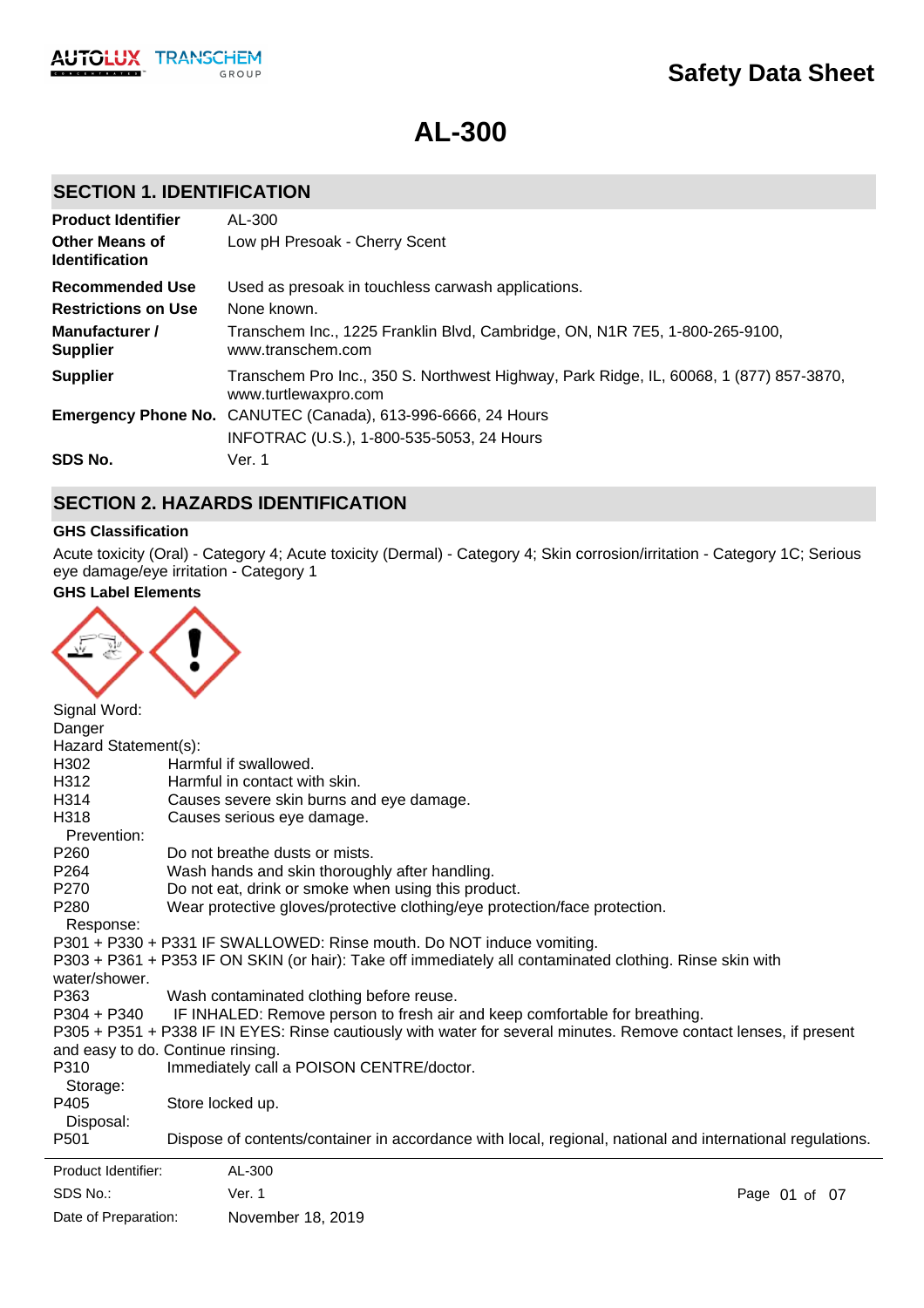

**AL-300**

# **SECTION 1. IDENTIFICATION**

| <b>Product Identifier</b>                      | AL-300                                                                                                         |
|------------------------------------------------|----------------------------------------------------------------------------------------------------------------|
| <b>Other Means of</b><br><b>Identification</b> | Low pH Presoak - Cherry Scent                                                                                  |
| Recommended Use                                | Used as presoak in touchless carwash applications.                                                             |
| <b>Restrictions on Use</b>                     | None known.                                                                                                    |
| Manufacturer /<br><b>Supplier</b>              | Transchem Inc., 1225 Franklin Blvd, Cambridge, ON, N1R 7E5, 1-800-265-9100,<br>www.transchem.com               |
| <b>Supplier</b>                                | Transchem Pro Inc., 350 S. Northwest Highway, Park Ridge, IL, 60068, 1 (877) 857-3870,<br>www.turtlewaxpro.com |
|                                                | Emergency Phone No. CANUTEC (Canada), 613-996-6666, 24 Hours                                                   |
|                                                | INFOTRAC (U.S.), 1-800-535-5053, 24 Hours                                                                      |
| SDS No.                                        | Ver. 1                                                                                                         |

# **SECTION 2. HAZARDS IDENTIFICATION**

## **GHS Classification**

Acute toxicity (Oral) - Category 4; Acute toxicity (Dermal) - Category 4; Skin corrosion/irritation - Category 1C; Serious eye damage/eye irritation - Category 1

## **GHS Label Elements**



| Signal Word:<br>Danger        |                                                                                                                   |               |
|-------------------------------|-------------------------------------------------------------------------------------------------------------------|---------------|
| Hazard Statement(s):          |                                                                                                                   |               |
| H302                          | Harmful if swallowed.                                                                                             |               |
|                               | Harmful in contact with skin.                                                                                     |               |
| H312                          |                                                                                                                   |               |
| H314                          | Causes severe skin burns and eye damage.                                                                          |               |
| H318<br>Prevention:           | Causes serious eye damage.                                                                                        |               |
| P260                          | Do not breathe dusts or mists.                                                                                    |               |
| P <sub>264</sub>              | Wash hands and skin thoroughly after handling.                                                                    |               |
| P <sub>270</sub>              | Do not eat, drink or smoke when using this product.                                                               |               |
| P <sub>280</sub><br>Response: | Wear protective gloves/protective clothing/eye protection/face protection.                                        |               |
|                               | P301 + P330 + P331 IF SWALLOWED: Rinse mouth. Do NOT induce vomiting.                                             |               |
|                               | P303 + P361 + P353 IF ON SKIN (or hair): Take off immediately all contaminated clothing. Rinse skin with          |               |
| water/shower.                 |                                                                                                                   |               |
| P363                          | Wash contaminated clothing before reuse.                                                                          |               |
| P304 + P340                   | IF INHALED: Remove person to fresh air and keep comfortable for breathing.                                        |               |
|                               | P305 + P351 + P338 IF IN EYES: Rinse cautiously with water for several minutes. Remove contact lenses, if present |               |
|                               |                                                                                                                   |               |
|                               | and easy to do. Continue rinsing.                                                                                 |               |
| P310                          | Immediately call a POISON CENTRE/doctor.                                                                          |               |
| Storage:                      |                                                                                                                   |               |
| P405                          | Store locked up.                                                                                                  |               |
| Disposal:                     |                                                                                                                   |               |
| P <sub>501</sub>              | Dispose of contents/container in accordance with local, regional, national and international regulations.         |               |
| Product Identifier:           | AL-300                                                                                                            |               |
| SDS No.:                      | Ver. 1                                                                                                            | Page 01 of 07 |
| Date of Preparation:          | November 18, 2019                                                                                                 |               |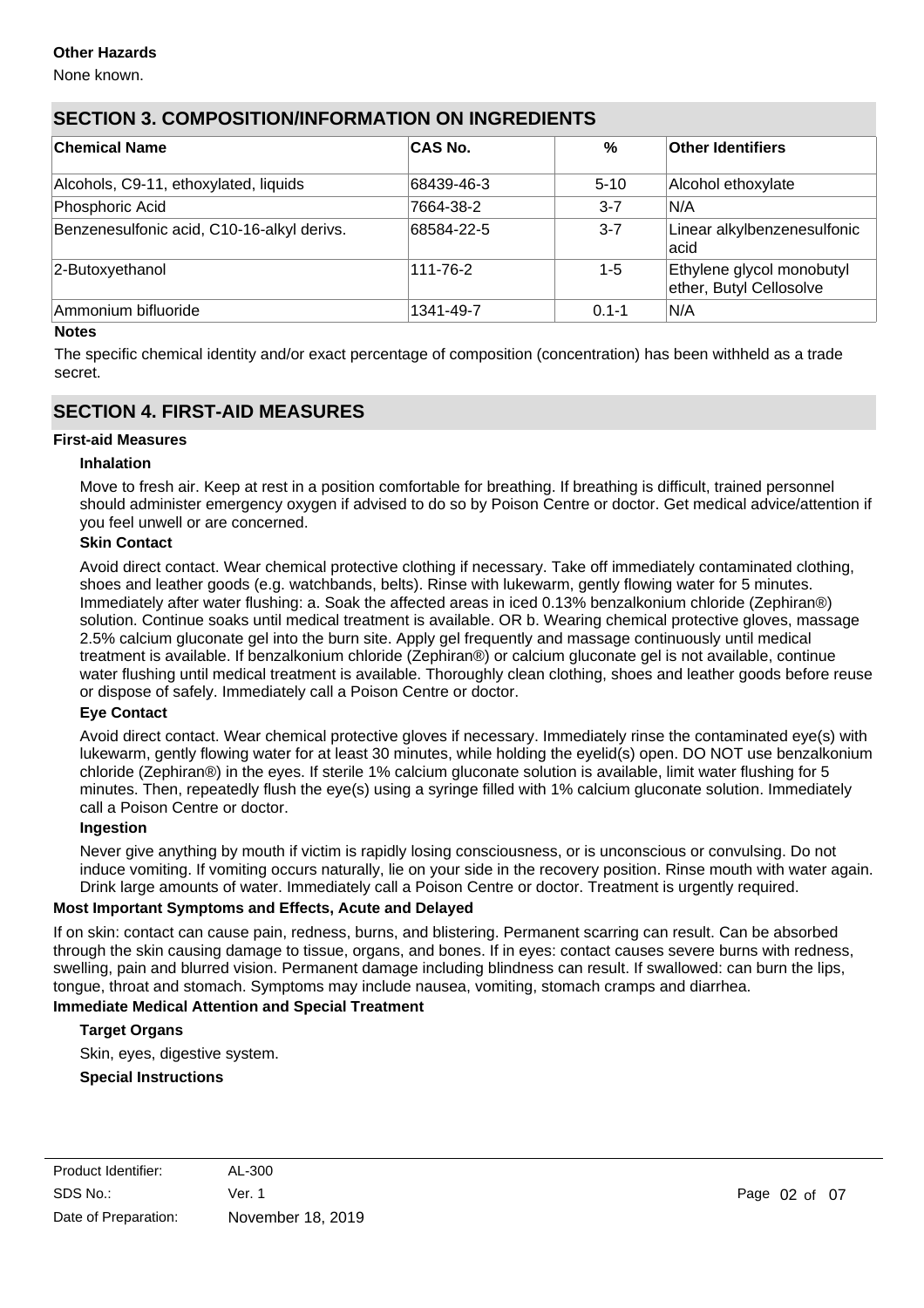## **Other Hazards**

None known.

## **SECTION 3. COMPOSITION/INFORMATION ON INGREDIENTS**

| <b>Chemical Name</b>                       | <b>CAS No.</b> | $\%$      | <b>Other Identifiers</b>                             |
|--------------------------------------------|----------------|-----------|------------------------------------------------------|
| Alcohols, C9-11, ethoxylated, liquids      | 68439-46-3     | $5 - 10$  | Alcohol ethoxylate                                   |
| Phosphoric Acid                            | 7664-38-2      | $3 - 7$   | IN/A                                                 |
| Benzenesulfonic acid, C10-16-alkyl derivs. | 68584-22-5     | $3 - 7$   | Linear alkylbenzenesulfonic<br>lacid                 |
| 2-Butoxyethanol                            | 111-76-2       | $1 - 5$   | Ethylene glycol monobutyl<br>ether, Butyl Cellosolve |
| Ammonium bifluoride                        | 1341-49-7      | $0.1 - 1$ | IN/A                                                 |

### **Notes**

The specific chemical identity and/or exact percentage of composition (concentration) has been withheld as a trade secret.

## **SECTION 4. FIRST-AID MEASURES**

#### **First-aid Measures**

### **Inhalation**

Move to fresh air. Keep at rest in a position comfortable for breathing. If breathing is difficult, trained personnel should administer emergency oxygen if advised to do so by Poison Centre or doctor. Get medical advice/attention if you feel unwell or are concerned.

### **Skin Contact**

Avoid direct contact. Wear chemical protective clothing if necessary. Take off immediately contaminated clothing, shoes and leather goods (e.g. watchbands, belts). Rinse with lukewarm, gently flowing water for 5 minutes. Immediately after water flushing: a. Soak the affected areas in iced 0.13% benzalkonium chloride (Zephiran®) solution. Continue soaks until medical treatment is available. OR b. Wearing chemical protective gloves, massage 2.5% calcium gluconate gel into the burn site. Apply gel frequently and massage continuously until medical treatment is available. If benzalkonium chloride (Zephiran®) or calcium gluconate gel is not available, continue water flushing until medical treatment is available. Thoroughly clean clothing, shoes and leather goods before reuse or dispose of safely. Immediately call a Poison Centre or doctor.

### **Eye Contact**

Avoid direct contact. Wear chemical protective gloves if necessary. Immediately rinse the contaminated eye(s) with lukewarm, gently flowing water for at least 30 minutes, while holding the eyelid(s) open. DO NOT use benzalkonium chloride (Zephiran®) in the eyes. If sterile 1% calcium gluconate solution is available, limit water flushing for 5 minutes. Then, repeatedly flush the eye(s) using a syringe filled with 1% calcium gluconate solution. Immediately call a Poison Centre or doctor.

#### **Ingestion**

Never give anything by mouth if victim is rapidly losing consciousness, or is unconscious or convulsing. Do not induce vomiting. If vomiting occurs naturally, lie on your side in the recovery position. Rinse mouth with water again. Drink large amounts of water. Immediately call a Poison Centre or doctor. Treatment is urgently required.

#### **Most Important Symptoms and Effects, Acute and Delayed**

If on skin: contact can cause pain, redness, burns, and blistering. Permanent scarring can result. Can be absorbed through the skin causing damage to tissue, organs, and bones. If in eyes: contact causes severe burns with redness, swelling, pain and blurred vision. Permanent damage including blindness can result. If swallowed: can burn the lips, tongue, throat and stomach. Symptoms may include nausea, vomiting, stomach cramps and diarrhea.

## **Immediate Medical Attention and Special Treatment**

## **Target Organs**

Skin, eyes, digestive system.

# **Special Instructions**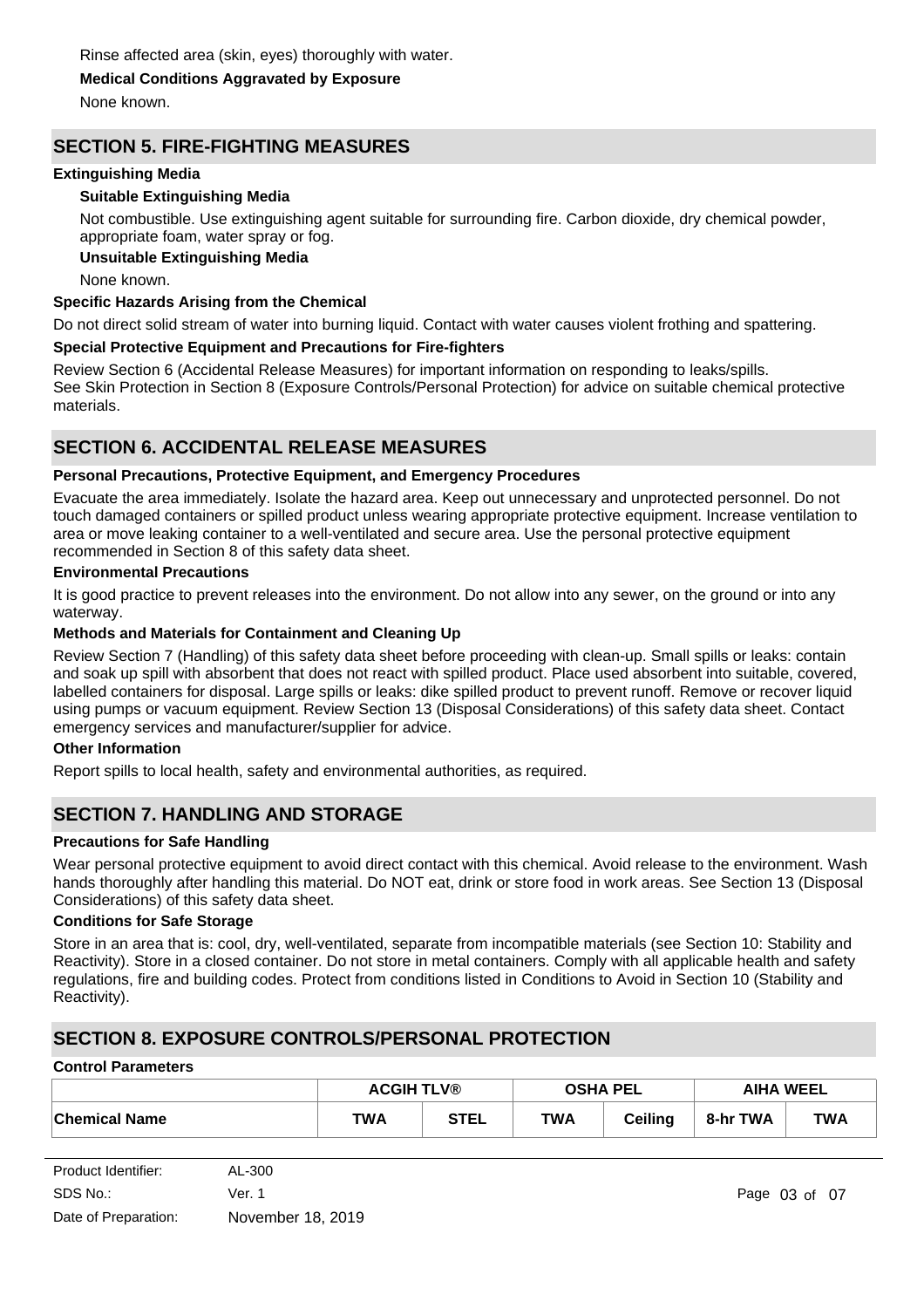# **Medical Conditions Aggravated by Exposure**

None known.

## **SECTION 5. FIRE-FIGHTING MEASURES**

### **Extinguishing Media**

## **Suitable Extinguishing Media**

Not combustible. Use extinguishing agent suitable for surrounding fire. Carbon dioxide, dry chemical powder, appropriate foam, water spray or fog.

## **Unsuitable Extinguishing Media**

None known.

### **Specific Hazards Arising from the Chemical**

Do not direct solid stream of water into burning liquid. Contact with water causes violent frothing and spattering.

## **Special Protective Equipment and Precautions for Fire-fighters**

Review Section 6 (Accidental Release Measures) for important information on responding to leaks/spills. See Skin Protection in Section 8 (Exposure Controls/Personal Protection) for advice on suitable chemical protective materials.

## **SECTION 6. ACCIDENTAL RELEASE MEASURES**

### **Personal Precautions, Protective Equipment, and Emergency Procedures**

Evacuate the area immediately. Isolate the hazard area. Keep out unnecessary and unprotected personnel. Do not touch damaged containers or spilled product unless wearing appropriate protective equipment. Increase ventilation to area or move leaking container to a well-ventilated and secure area. Use the personal protective equipment recommended in Section 8 of this safety data sheet.

### **Environmental Precautions**

It is good practice to prevent releases into the environment. Do not allow into any sewer, on the ground or into any waterway.

## **Methods and Materials for Containment and Cleaning Up**

Review Section 7 (Handling) of this safety data sheet before proceeding with clean-up. Small spills or leaks: contain and soak up spill with absorbent that does not react with spilled product. Place used absorbent into suitable, covered, labelled containers for disposal. Large spills or leaks: dike spilled product to prevent runoff. Remove or recover liquid using pumps or vacuum equipment. Review Section 13 (Disposal Considerations) of this safety data sheet. Contact emergency services and manufacturer/supplier for advice.

## **Other Information**

Report spills to local health, safety and environmental authorities, as required.

## **SECTION 7. HANDLING AND STORAGE**

## **Precautions for Safe Handling**

Wear personal protective equipment to avoid direct contact with this chemical. Avoid release to the environment. Wash hands thoroughly after handling this material. Do NOT eat, drink or store food in work areas. See Section 13 (Disposal Considerations) of this safety data sheet.

## **Conditions for Safe Storage**

Store in an area that is: cool, dry, well-ventilated, separate from incompatible materials (see Section 10: Stability and Reactivity). Store in a closed container. Do not store in metal containers. Comply with all applicable health and safety regulations, fire and building codes. Protect from conditions listed in Conditions to Avoid in Section 10 (Stability and Reactivity).

## **SECTION 8. EXPOSURE CONTROLS/PERSONAL PROTECTION**

#### **Control Parameters**

|                      | <b>ACGIH TLV®</b> |             | <b>OSHA PEL</b> |                | <b>AIHA WEEL</b> |            |
|----------------------|-------------------|-------------|-----------------|----------------|------------------|------------|
| <b>Chemical Name</b> | TWA               | <b>STEL</b> | <b>TWA</b>      | <b>Ceiling</b> | 8-hr TWA         | <b>TWA</b> |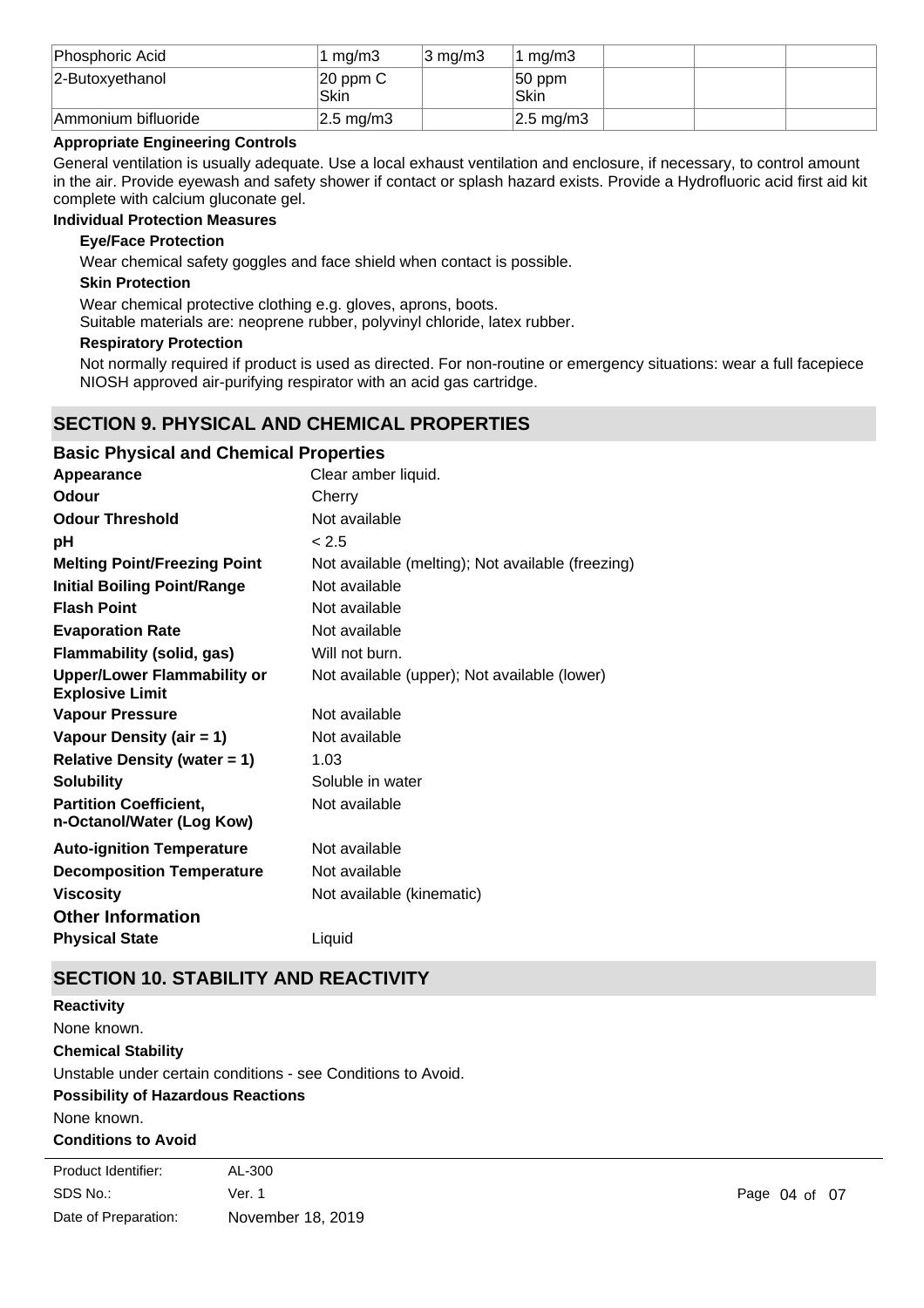| Phosphoric Acid     | 1 ma/m3                    | 3 ma/m3 | ma/m3                    |  |  |
|---------------------|----------------------------|---------|--------------------------|--|--|
| 2-Butoxyethanol     | $ 20$ ppm C<br><b>Skin</b> |         | $ 50$ ppm<br><b>Skin</b> |  |  |
| Ammonium bifluoride | $ 2.5 \text{ mg/m}$ 3      |         | $ 2.5 \text{ mg/m}$ 3    |  |  |

## **Appropriate Engineering Controls**

General ventilation is usually adequate. Use a local exhaust ventilation and enclosure, if necessary, to control amount in the air. Provide eyewash and safety shower if contact or splash hazard exists. Provide a Hydrofluoric acid first aid kit complete with calcium gluconate gel.

### **Individual Protection Measures**

### **Eye/Face Protection**

Wear chemical safety goggles and face shield when contact is possible.

### **Skin Protection**

Wear chemical protective clothing e.g. gloves, aprons, boots.

Suitable materials are: neoprene rubber, polyvinyl chloride, latex rubber.

#### **Respiratory Protection**

Not normally required if product is used as directed. For non-routine or emergency situations: wear a full facepiece NIOSH approved air-purifying respirator with an acid gas cartridge.

## **SECTION 9. PHYSICAL AND CHEMICAL PROPERTIES**

| <b>Basic Physical and Chemical Properties</b>                |                                                   |
|--------------------------------------------------------------|---------------------------------------------------|
| Appearance                                                   | Clear amber liquid.                               |
| Odour                                                        | Cherry                                            |
| <b>Odour Threshold</b>                                       | Not available                                     |
| рH                                                           | < 2.5                                             |
| <b>Melting Point/Freezing Point</b>                          | Not available (melting); Not available (freezing) |
| <b>Initial Boiling Point/Range</b>                           | Not available                                     |
| <b>Flash Point</b>                                           | Not available                                     |
| <b>Evaporation Rate</b>                                      | Not available                                     |
| <b>Flammability (solid, gas)</b>                             | Will not burn.                                    |
| <b>Upper/Lower Flammability or</b><br><b>Explosive Limit</b> | Not available (upper); Not available (lower)      |
| <b>Vapour Pressure</b>                                       | Not available                                     |
| Vapour Density (air = 1)                                     | Not available                                     |
| <b>Relative Density (water = 1)</b>                          | 1.03                                              |
| <b>Solubility</b>                                            | Soluble in water                                  |
| <b>Partition Coefficient,</b><br>n-Octanol/Water (Log Kow)   | Not available                                     |
| <b>Auto-ignition Temperature</b>                             | Not available                                     |
| <b>Decomposition Temperature</b>                             | Not available                                     |
| <b>Viscosity</b>                                             | Not available (kinematic)                         |
| <b>Other Information</b>                                     |                                                   |
| <b>Physical State</b>                                        | Liquid                                            |

## **SECTION 10. STABILITY AND REACTIVITY**

**Chemical Stability** Unstable under certain conditions - see Conditions to Avoid. **Possibility of Hazardous Reactions** None known. **Reactivity** None known.

**Conditions to Avoid**

| Product Identifier:  | AL-300            |              |  |
|----------------------|-------------------|--------------|--|
| SDS No.:             | Ver. 1            | Page 04 of 0 |  |
| Date of Preparation: | November 18, 2019 |              |  |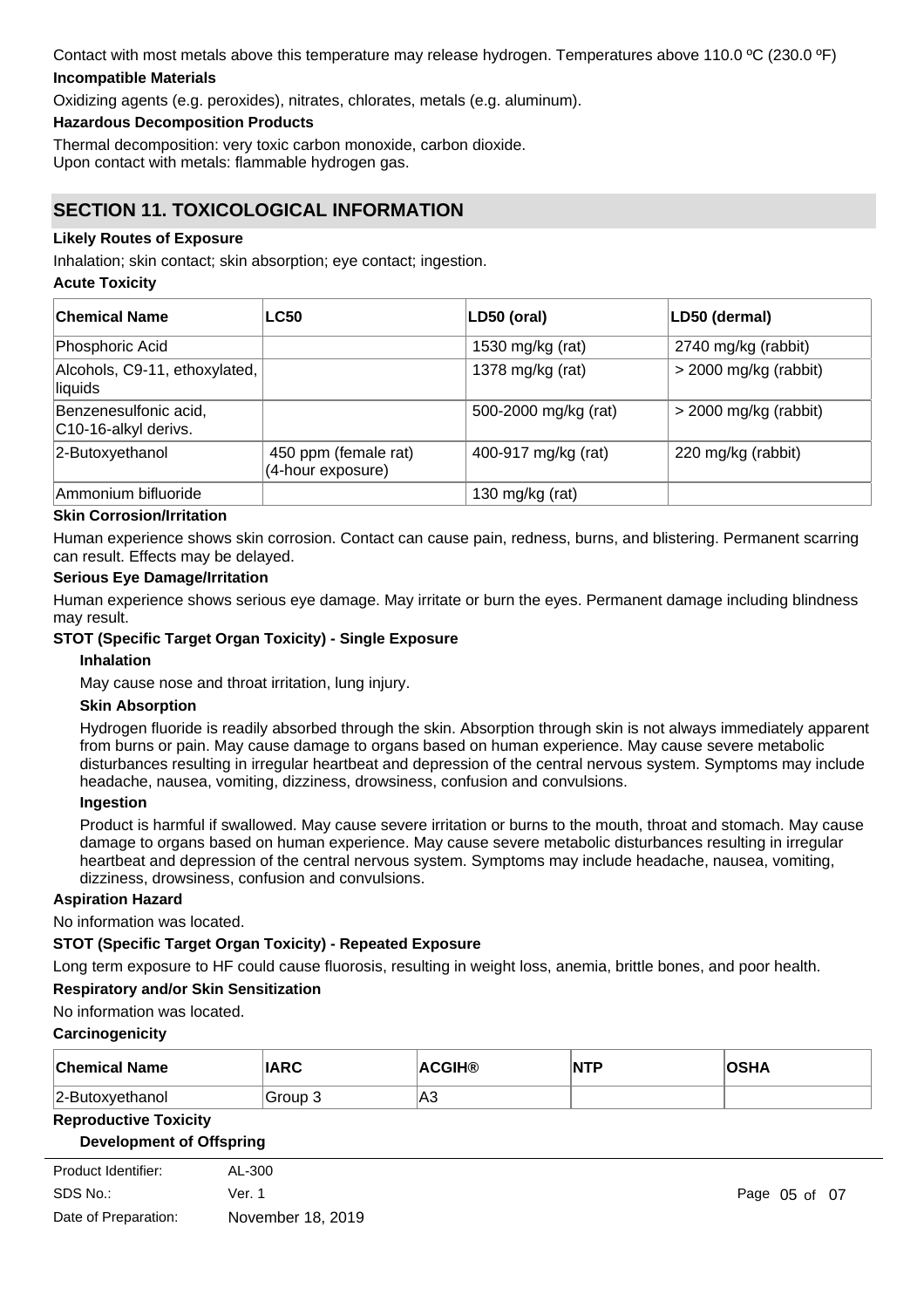## Contact with most metals above this temperature may release hydrogen. Temperatures above 110.0 ºC (230.0 ºF) **Incompatible Materials**

Oxidizing agents (e.g. peroxides), nitrates, chlorates, metals (e.g. aluminum).

### **Hazardous Decomposition Products**

Thermal decomposition: very toxic carbon monoxide, carbon dioxide. Upon contact with metals: flammable hydrogen gas.

## **SECTION 11. TOXICOLOGICAL INFORMATION**

### **Likely Routes of Exposure**

Inhalation; skin contact; skin absorption; eye contact; ingestion.

### **Acute Toxicity**

| ∣Chemical Name                                | <b>LC50</b>                               | LD50 (oral)          | LD50 (dermal)           |
|-----------------------------------------------|-------------------------------------------|----------------------|-------------------------|
| Phosphoric Acid                               |                                           | 1530 mg/kg (rat)     | 2740 mg/kg (rabbit)     |
| Alcohols, C9-11, ethoxylated,<br>liquids      |                                           | 1378 mg/kg (rat)     | $>$ 2000 mg/kg (rabbit) |
| Benzenesulfonic acid,<br>C10-16-alkyl derivs. |                                           | 500-2000 mg/kg (rat) | $>$ 2000 mg/kg (rabbit) |
| 2-Butoxyethanol                               | 450 ppm (female rat)<br>(4-hour exposure) | 400-917 mg/kg (rat)  | 220 mg/kg (rabbit)      |
| Ammonium bifluoride                           |                                           | 130 mg/kg (rat)      |                         |

### **Skin Corrosion/Irritation**

Human experience shows skin corrosion. Contact can cause pain, redness, burns, and blistering. Permanent scarring can result. Effects may be delayed.

#### **Serious Eye Damage/Irritation**

Human experience shows serious eye damage. May irritate or burn the eyes. Permanent damage including blindness may result.

### **STOT (Specific Target Organ Toxicity) - Single Exposure**

#### **Inhalation**

May cause nose and throat irritation, lung injury.

### **Skin Absorption**

Hydrogen fluoride is readily absorbed through the skin. Absorption through skin is not always immediately apparent from burns or pain. May cause damage to organs based on human experience. May cause severe metabolic disturbances resulting in irregular heartbeat and depression of the central nervous system. Symptoms may include headache, nausea, vomiting, dizziness, drowsiness, confusion and convulsions.

#### **Ingestion**

Product is harmful if swallowed. May cause severe irritation or burns to the mouth, throat and stomach. May cause damage to organs based on human experience. May cause severe metabolic disturbances resulting in irregular heartbeat and depression of the central nervous system. Symptoms may include headache, nausea, vomiting, dizziness, drowsiness, confusion and convulsions.

#### **Aspiration Hazard**

No information was located.

## **STOT (Specific Target Organ Toxicity) - Repeated Exposure**

Long term exposure to HF could cause fluorosis, resulting in weight loss, anemia, brittle bones, and poor health.

#### **Respiratory and/or Skin Sensitization**

No information was located.

#### **Carcinogenicity**

| <b>Chemical Name</b> | <b>IARC</b> | <b>ACGIH®</b> | $\overline{\mathsf{NTP}}$ | <b>OSHA</b> |
|----------------------|-------------|---------------|---------------------------|-------------|
| 2-Butoxyethanol      | 'Group 3    | lA3           |                           |             |

#### **Reproductive Toxicity**

#### **Development of Offspring**

| Product Identifier:  | AL-300            |
|----------------------|-------------------|
| SDS No.:             | Ver. 1            |
| Date of Preparation: | November 18, 2019 |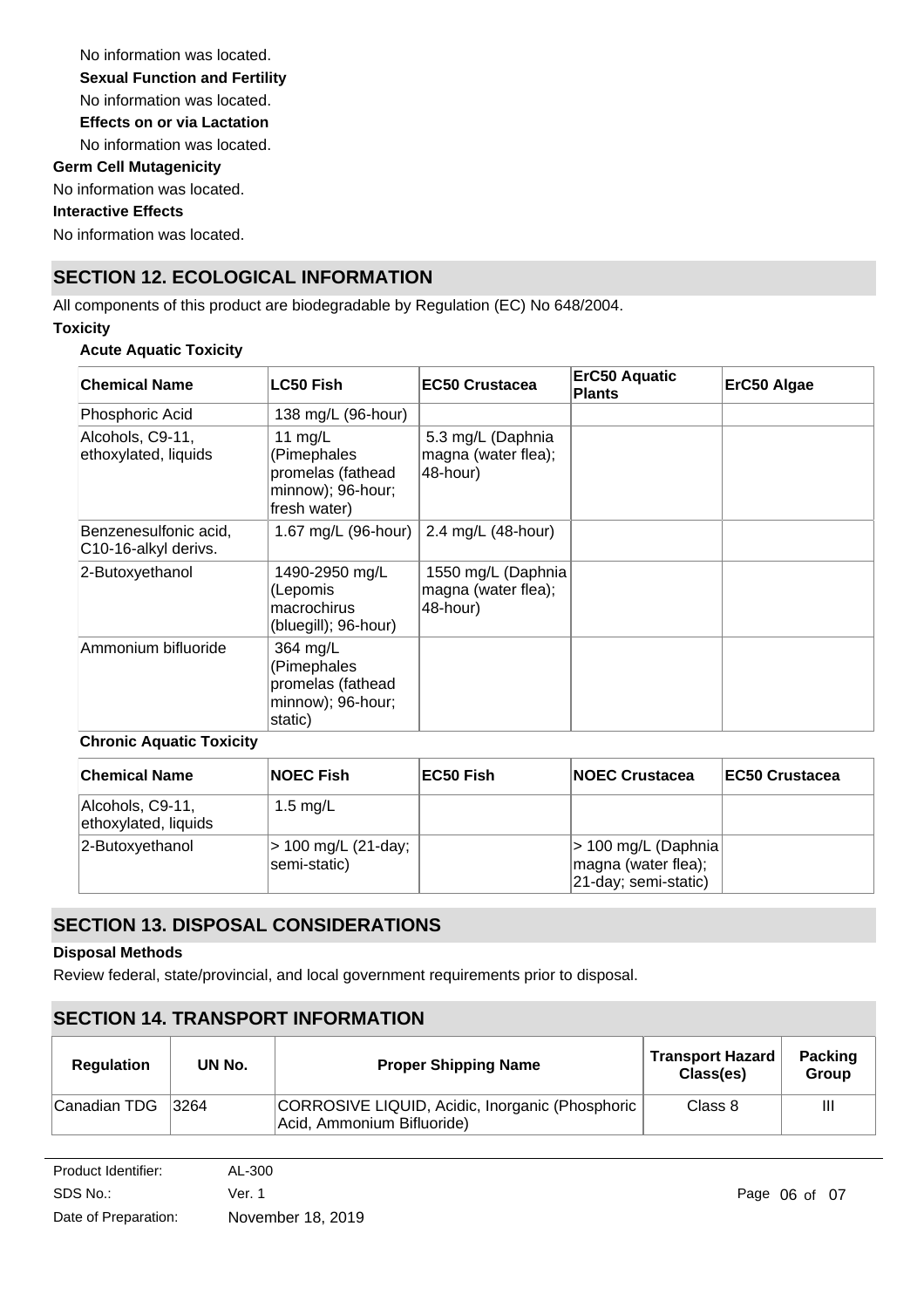No information was located. No information was located. **Germ Cell Mutagenicity** No information was located. **Interactive Effects** No information was located. **Sexual Function and Fertility Effects on or via Lactation** No information was located.

# **SECTION 12. ECOLOGICAL INFORMATION**

All components of this product are biodegradable by Regulation (EC) No 648/2004.

## **Toxicity**

## **Acute Aquatic Toxicity**

| <b>Chemical Name</b>                          | <b>LC50 Fish</b>                                                                   | <b>EC50 Crustacea</b>                                 | <b>ErC50 Aquatic</b><br><b>Plants</b> | ErC50 Algae |
|-----------------------------------------------|------------------------------------------------------------------------------------|-------------------------------------------------------|---------------------------------------|-------------|
| Phosphoric Acid                               | 138 mg/L (96-hour)                                                                 |                                                       |                                       |             |
| Alcohols, C9-11,<br>ethoxylated, liquids      | 11 $mg/L$<br>(Pimephales<br>promelas (fathead<br>minnow); 96-hour;<br>fresh water) | 5.3 mg/L (Daphnia<br>magna (water flea);<br>48-hour)  |                                       |             |
| Benzenesulfonic acid,<br>C10-16-alkyl derivs. | 1.67 mg/L (96-hour) 2.4 mg/L (48-hour)                                             |                                                       |                                       |             |
| 2-Butoxyethanol                               | 1490-2950 mg/L<br>(Lepomis<br>macrochirus<br>(bluegill); 96-hour)                  | 1550 mg/L (Daphnia<br>magna (water flea);<br>48-hour) |                                       |             |
| Ammonium bifluoride                           | 364 mg/L<br>(Pimephales<br>promelas (fathead<br>minnow); 96-hour;<br>static)       |                                                       |                                       |             |

## **Chronic Aquatic Toxicity**

| <b>Chemical Name</b>                     | <b>NOEC Fish</b>                    | ∣EC50 Fish | <b>INOEC Crustacea</b>                                              | <b>IEC50 Crustacea</b> |
|------------------------------------------|-------------------------------------|------------|---------------------------------------------------------------------|------------------------|
| Alcohols, C9-11,<br>ethoxylated, liquids | 1.5 $mg/L$                          |            |                                                                     |                        |
| 2-Butoxyethanol                          | > 100 mg/L (21-day;<br>semi-static) |            | > 100 mg/L (Daphnia)<br>magna (water flea);<br>21-day; semi-static) |                        |

## **SECTION 13. DISPOSAL CONSIDERATIONS**

## **Disposal Methods**

Review federal, state/provincial, and local government requirements prior to disposal.

## **SECTION 14. TRANSPORT INFORMATION**

| <b>Regulation</b> | UN No. | <b>Proper Shipping Name</b>                                                   | <b>Transport Hazard</b><br>Class(es) | <b>Packing</b><br><b>Group</b> |
|-------------------|--------|-------------------------------------------------------------------------------|--------------------------------------|--------------------------------|
| Canadian TDG      | 3264   | CORROSIVE LIQUID, Acidic, Inorganic (Phosphoric<br>Acid, Ammonium Bifluoride) | Class 8                              | Ш                              |